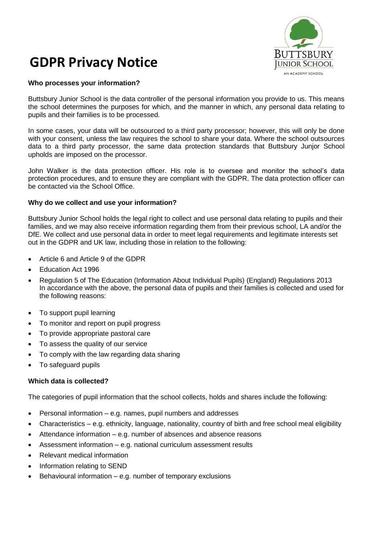

# **GDPR Privacy Notice**

# **Who processes your information?**

Buttsbury Junior School is the data controller of the personal information you provide to us. This means the school determines the purposes for which, and the manner in which, any personal data relating to pupils and their families is to be processed.

In some cases, your data will be outsourced to a third party processor; however, this will only be done with your consent, unless the law requires the school to share your data. Where the school outsources data to a third party processor, the same data protection standards that Buttsbury Junjor School upholds are imposed on the processor.

John Walker is the data protection officer. His role is to oversee and monitor the school's data protection procedures, and to ensure they are compliant with the GDPR. The data protection officer can be contacted via the School Office.

## **Why do we collect and use your information?**

Buttsbury Junior School holds the legal right to collect and use personal data relating to pupils and their families, and we may also receive information regarding them from their previous school, LA and/or the DfE. We collect and use personal data in order to meet legal requirements and legitimate interests set out in the GDPR and UK law, including those in relation to the following:

- Article 6 and Article 9 of the GDPR
- Education Act 1996
- Regulation 5 of The Education (Information About Individual Pupils) (England) Regulations 2013 In accordance with the above, the personal data of pupils and their families is collected and used for the following reasons:
- To support pupil learning
- To monitor and report on pupil progress
- To provide appropriate pastoral care
- To assess the quality of our service
- To comply with the law regarding data sharing
- To safeguard pupils

#### **Which data is collected?**

The categories of pupil information that the school collects, holds and shares include the following:

- Personal information e.g. names, pupil numbers and addresses
- Characteristics e.g. ethnicity, language, nationality, country of birth and free school meal eligibility
- Attendance information e.g. number of absences and absence reasons
- Assessment information e.g. national curriculum assessment results
- Relevant medical information
- Information relating to SEND
- Behavioural information  $-$  e.g. number of temporary exclusions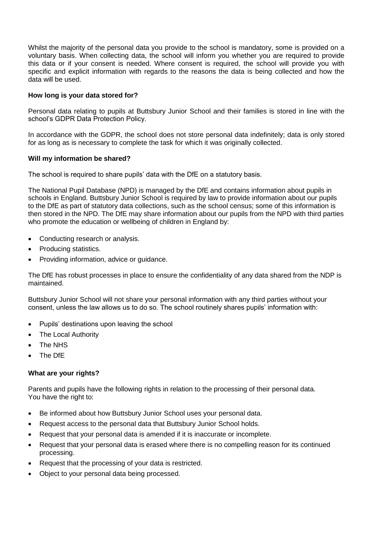Whilst the majority of the personal data you provide to the school is mandatory, some is provided on a voluntary basis. When collecting data, the school will inform you whether you are required to provide this data or if your consent is needed. Where consent is required, the school will provide you with specific and explicit information with regards to the reasons the data is being collected and how the data will be used.

## **How long is your data stored for?**

Personal data relating to pupils at Buttsbury Junior School and their families is stored in line with the school's GDPR Data Protection Policy.

In accordance with the GDPR, the school does not store personal data indefinitely; data is only stored for as long as is necessary to complete the task for which it was originally collected.

## **Will my information be shared?**

The school is required to share pupils' data with the DfE on a statutory basis.

The National Pupil Database (NPD) is managed by the DfE and contains information about pupils in schools in England. Buttsbury Junior School is required by law to provide information about our pupils to the DfE as part of statutory data collections, such as the school census; some of this information is then stored in the NPD. The DfE may share information about our pupils from the NPD with third parties who promote the education or wellbeing of children in England by:

- Conducting research or analysis.
- Producing statistics.
- Providing information, advice or guidance.

The DfE has robust processes in place to ensure the confidentiality of any data shared from the NDP is maintained.

Buttsbury Junior School will not share your personal information with any third parties without your consent, unless the law allows us to do so. The school routinely shares pupils' information with:

- Pupils' destinations upon leaving the school
- The Local Authority
- The NHS
- The DfE

## **What are your rights?**

Parents and pupils have the following rights in relation to the processing of their personal data. You have the right to:

- Be informed about how Buttsbury Junior School uses your personal data.
- Request access to the personal data that Buttsbury Junior School holds.
- Request that your personal data is amended if it is inaccurate or incomplete.
- Request that your personal data is erased where there is no compelling reason for its continued processing.
- Request that the processing of your data is restricted.
- Object to your personal data being processed.